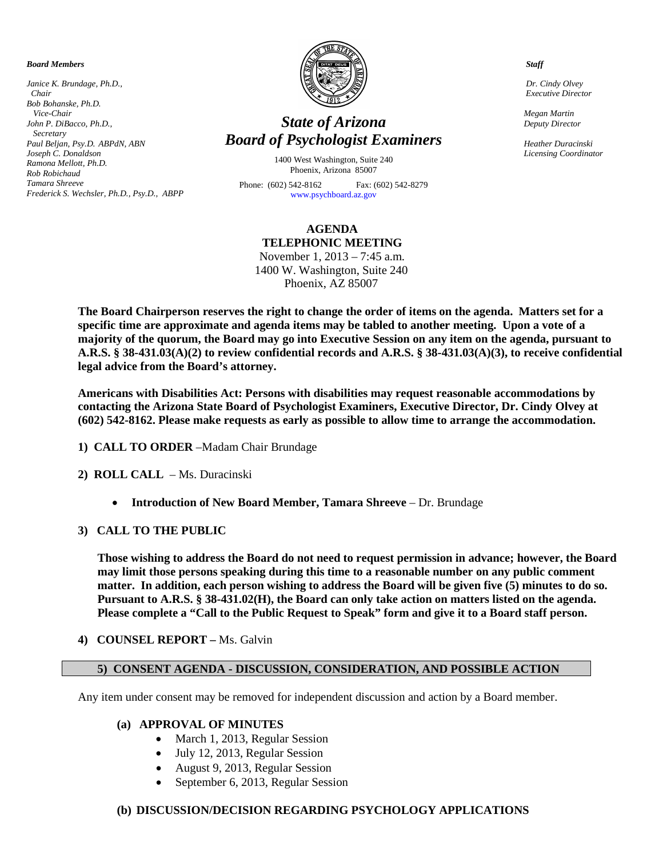*Board Members*

*Janice K. Brundage, Ph.D., Chair Bob Bohanske, Ph.D. Vice-Chair John P. DiBacco, Ph.D., Secretary Paul Beljan, Psy.D. ABPdN, ABN Joseph C. Donaldson Ramona Mellott, Ph.D. Rob Robichaud Tamara Shreeve Frederick S. Wechsler, Ph.D., Psy.D., ABPP* 



# *State of Arizona Board of Psychologist Examiners*

1400 West Washington, Suite 240 Phoenix, Arizona 85007

Phone: (602) 542-8162 Fax: (602) 542-8279 [www.psychboard.az.gov](http://www.psychboard.az.gov/) 

## **AGENDA TELEPHONIC MEETING**

November 1, 2013 – 7:45 a.m. 1400 W. Washington, Suite 240 Phoenix, AZ 85007

**The Board Chairperson reserves the right to change the order of items on the agenda. Matters set for a specific time are approximate and agenda items may be tabled to another meeting. Upon a vote of a majority of the quorum, the Board may go into Executive Session on any item on the agenda, pursuant to A.R.S. § 38-431.03(A)(2) to review confidential records and A.R.S. § 38-431.03(A)(3), to receive confidential legal advice from the Board's attorney.**

**Americans with Disabilities Act: Persons with disabilities may request reasonable accommodations by contacting the Arizona State Board of Psychologist Examiners, Executive Director, Dr. Cindy Olvey at (602) 542-8162. Please make requests as early as possible to allow time to arrange the accommodation.**

- **1) CALL TO ORDER** –Madam Chair Brundage
- **2) ROLL CALL** Ms. Duracinski
	- **Introduction of New Board Member, Tamara Shreeve** Dr. Brundage
- **3) CALL TO THE PUBLIC**

**Those wishing to address the Board do not need to request permission in advance; however, the Board may limit those persons speaking during this time to a reasonable number on any public comment matter. In addition, each person wishing to address the Board will be given five (5) minutes to do so. Pursuant to A.R.S. § 38-431.02(H), the Board can only take action on matters listed on the agenda. Please complete a "Call to the Public Request to Speak" form and give it to a Board staff person.**

**4) COUNSEL REPORT –** Ms. Galvin

## **5) CONSENT AGENDA - DISCUSSION, CONSIDERATION, AND POSSIBLE ACTION**

Any item under consent may be removed for independent discussion and action by a Board member.

#### **(a) APPROVAL OF MINUTES**

- March 1, 2013, Regular Session
- July 12, 2013, Regular Session
- August 9, 2013, Regular Session
- September 6, 2013, Regular Session

#### **(b) DISCUSSION/DECISION REGARDING PSYCHOLOGY APPLICATIONS**

 *Staff*

 *Dr. Cindy Olvey Executive Director*

 *Megan Martin Deputy Director*

 *Heather Duracinski Licensing Coordinator*